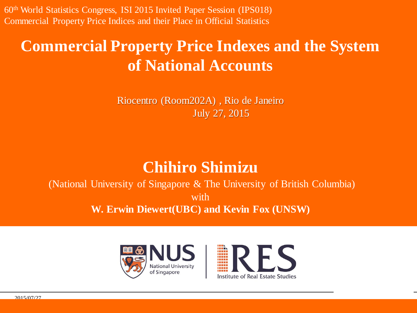60<sup>th</sup> World Statistics Congress, ISI 2015 Invited Paper Session (IPS018) Commercial Property Price Indices and their Place in Official Statistics

#### **Commercial Property Price Indexes and the System of National Accounts**

Riocentro (Room202A) , Rio de Janeiro July 27, 2015

#### **Chihiro Shimizu**

(National University of Singapore & The University of British Columbia) with **W. Erwin Diewert(UBC) and Kevin Fox (UNSW)**





page.

2015/07/27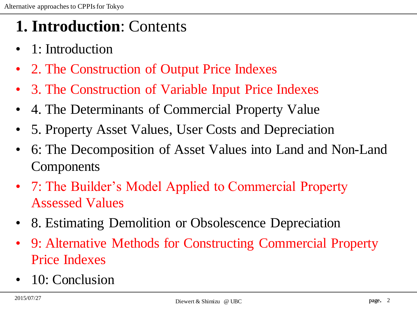#### **1. Introduction**: Contents

- 1: Introduction
- 2. The Construction of Output Price Indexes
- 3. The Construction of Variable Input Price Indexes
- 4. The Determinants of Commercial Property Value
- 5. Property Asset Values, User Costs and Depreciation
- 6: The Decomposition of Asset Values into Land and Non-Land Components
- 7: The Builder's Model Applied to Commercial Property Assessed Values
- 8. Estimating Demolition or Obsolescence Depreciation
- 9: Alternative Methods for Constructing Commercial Property Price Indexes
- 10: Conclusion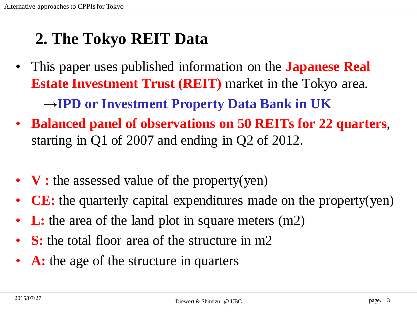## **2. The Tokyo REIT Data**

- This paper uses published information on the **Japanese Real Estate Investment Trust (REIT)** market in the Tokyo area. →**IPD or Investment Property Data Bank in UK**
- **Balanced panel of observations on 50 REITs for 22 quarters**, starting in Q1 of 2007 and ending in Q2 of 2012.
- **V**: the assessed value of the property(yen)
- **CE:** the quarterly capital expenditures made on the property(yen)
- **L:** the area of the land plot in square meters (m2)
- **S**: the total floor area of the structure in m2
- A: the age of the structure in quarters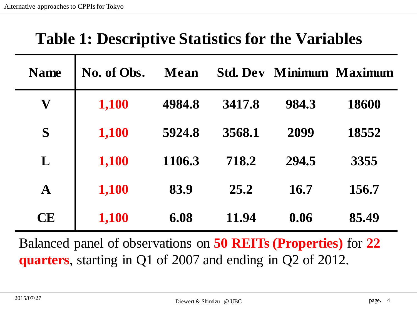### **Table 1: Descriptive Statistics for the Variables**

| <b>Name</b>               | No. of Obs. | Mean   |        |       | <b>Std. Dev Minimum Maximum</b> |
|---------------------------|-------------|--------|--------|-------|---------------------------------|
| $\boldsymbol{\mathrm{V}}$ | 1,100       | 4984.8 | 3417.8 | 984.3 | 18600                           |
| S                         | 1,100       | 5924.8 | 3568.1 | 2099  | 18552                           |
| L                         | 1,100       | 1106.3 | 718.2  | 294.5 | 3355                            |
| A                         | 1,100       | 83.9   | 25.2   | 16.7  | 156.7                           |
| <b>CE</b>                 | 1,100       | 6.08   | 11.94  | 0.06  | 85.49                           |

Balanced panel of observations on **50 REITs (Properties)** for **22 quarters**, starting in Q1 of 2007 and ending in Q2 of 2012.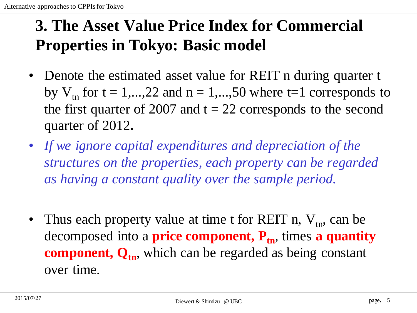# **3. The Asset Value Price Index for Commercial Properties in Tokyo: Basic model**

- Denote the estimated asset value for REIT n during quarter t by  $V_{tn}$  for  $t = 1,...,22$  and  $n = 1,...,50$  where  $t = 1$  corresponds to the first quarter of 2007 and  $t = 22$  corresponds to the second quarter of 2012**.**
- *If we ignore capital expenditures and depreciation of the structures on the properties, each property can be regarded as having a constant quality over the sample period.*
- Thus each property value at time t for REIT n,  $V_{tn}$ , can be decomposed into a **price component, P**<sub>tn</sub>, times **a quantity component, Qtn**, which can be regarded as being constant over time.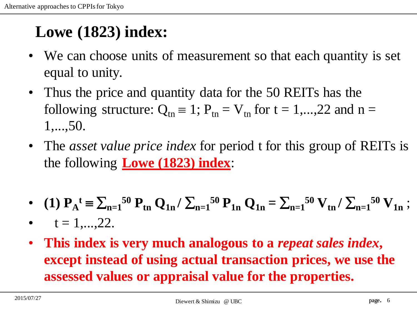# **Lowe (1823) index:**

- We can choose units of measurement so that each quantity is set equal to unity.
- Thus the price and quantity data for the 50 REITs has the following structure:  $Q_{tn} \equiv 1$ ;  $P_{tn} = V_{tn}$  for  $t = 1,...,22$  and  $n =$ 1,...,50.
- The *asset value price index* for period t for this group of REITs is the following **Lowe (1823) index**:
- (1)  $P_A^t = \sum_{n=1}^{50} P_{tn} Q_{1n} / \sum_{n=1}^{50} P_{1n} Q_{1n} = \sum_{n=1}^{50} V_{tn} / \sum_{n=1}^{50} V_{1n}$ ;
- $t = 1, \ldots, 22.$
- **This index is very much analogous to a** *repeat sales index***, except instead of using actual transaction prices, we use the assessed values or appraisal value for the properties.**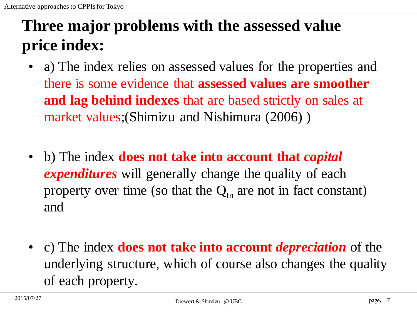# **Three major problems with the assessed value price index:**

- a) The index relies on assessed values for the properties and there is some evidence that **assessed values are smoother and lag behind indexes** that are based strictly on sales at market values;(Shimizu and Nishimura (2006) )
- b) The index **does not take into account that** *capital expenditures* will generally change the quality of each property over time (so that the  $Q_{tn}$  are not in fact constant) and
- c) The index **does not take into account** *depreciation* of the underlying structure, which of course also changes the quality of each property.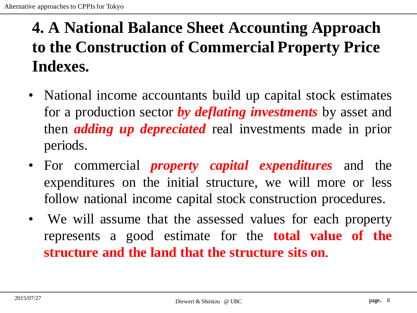# **4. A National Balance Sheet Accounting Approach to the Construction of Commercial Property Price Indexes.**

- National income accountants build up capital stock estimates for a production sector *by deflating investments* by asset and then *adding up depreciated* real investments made in prior periods.
- For commercial *property capital expenditures* and the expenditures on the initial structure, we will more or less follow national income capital stock construction procedures.
- We will assume that the assessed values for each property represents a good estimate for the **total value of the structure and the land that the structure sits on**.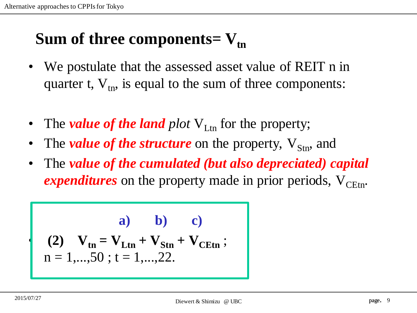## **Sum of three components=**  $V_{tn}$

- We postulate that the assessed asset value of REIT n in quarter t,  $V_{tn}$ , is equal to the sum of three components:
- The *value of the land plot*  $V_{\text{Ltn}}$  for the property;
- The *value of the structure* on the property,  $V_{\rm Stn}$ , and
- The *value of the cumulated (but also depreciated) capital expenditures* on the property made in prior periods,  $V_{CFtn}$ .

(a) (b) (2)  
\n
$$
(2) V_{tn} = V_{Ltn} + V_{Stn} + V_{CEtn} ;
$$
\n
$$
n = 1,...,50; t = 1,...,22.
$$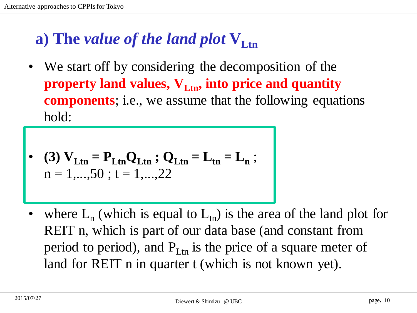# **a) The** *value of the land plot* $V_{\text{Ltn}}$

We start off by considering the decomposition of the **property land values,**  $V_{Ltn}$ **, into price and quantity components**; i.e., we assume that the following equations hold:

• (3) 
$$
V_{Ltn} = P_{Ltn}Q_{Ltn}
$$
;  $Q_{Ltn} = L_{tn} = L_n$ ;  
n = 1,...,50; t = 1,...,22

• where  $L_n$  (which is equal to  $L_{tn}$ ) is the area of the land plot for REIT n, which is part of our data base (and constant from period to period), and  $P_{\text{Ltn}}$  is the price of a square meter of land for REIT n in quarter t (which is not known yet).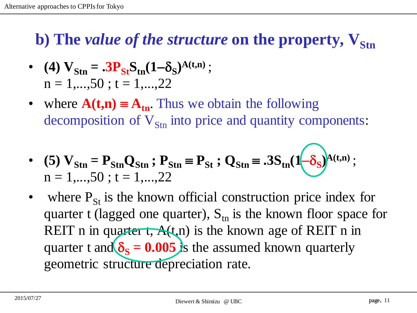#### **b**) The *value of the structure* on the property,  $V_{\rm{Str}}$

• (4) 
$$
V_{\text{Stn}} = .3P_{\text{St}}S_{\text{tn}}(1-\delta_{\text{S}})^{A(t,n)}
$$
;  
n = 1,...,50 ; t = 1,...,22

where  $A(t,n) \equiv A_{tn}$ . Thus we obtain the following decomposition of  $V_{\text{Str}}$  into price and quantity components:

• (5) 
$$
V_{\text{Stn}} = P_{\text{Stn}} Q_{\text{Stn}}
$$
;  $P_{\text{Stn}} = P_{\text{St}}$ ;  $Q_{\text{Stn}} = .3S_{\text{tn}} (1-\delta_S)^{A(t,n)}$ ;  
n = 1,...,50 ; t = 1,...,22

where  $P_{St}$  is the known official construction price index for quarter t (lagged one quarter),  $S_{tn}$  is the known floor space for REIT n in quarter t,  $A(t, n)$  is the known age of REIT n in quarter t and  $\delta_s = 0.005$  is the assumed known quarterly geometric structure depreciation rate.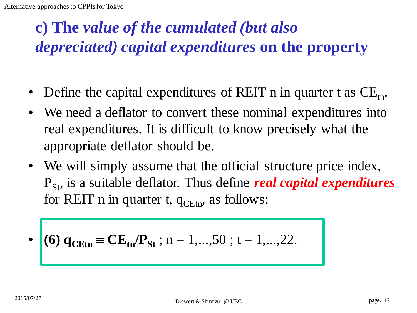# **c) The** *value of the cumulated (but also depreciated) capital expenditures* **on the property**

- Define the capital expenditures of REIT n in quarter t as  $CE$ <sub>tn</sub>.
- We need a deflator to convert these nominal expenditures into real expenditures. It is difficult to know precisely what the appropriate deflator should be.
- We will simply assume that the official structure price index,  $P_{\rm St}$ , is a suitable deflator. Thus define *real capital expenditures* for REIT n in quarter t,  $q_{\text{CEt}_{n}}$ , as follows:

• (6) 
$$
q_{\text{CEtn}} = \text{CE}_{\text{tn}}/P_{\text{St}}
$$
; n = 1,...,50; t = 1,...,22.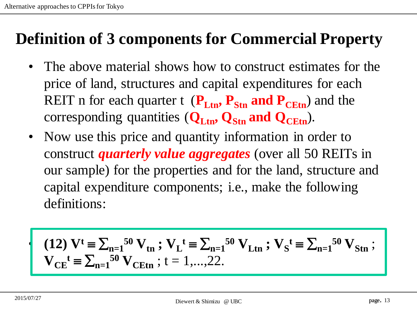## **Definition of 3 components for Commercial Property**

- The above material shows how to construct estimates for the price of land, structures and capital expenditures for each REIT n for each quarter t  $(\mathbf{P}_{\text{Ltn}}, \mathbf{P}_{\text{Stn}})$  and the corresponding quantities  $(Q_{\text{Ltn}}, Q_{\text{Str}})$  and  $Q_{\text{CEt}}$ .
- Now use this price and quantity information in order to construct *quarterly value aggregates* (over all 50 REITs in our sample) for the properties and for the land, structure and capital expenditure components; i.e., make the following definitions:

(12) 
$$
V^t = \sum_{n=1}^{50} V_{tn}
$$
;  $V_L^t = \sum_{n=1}^{50} V_{Ltn}$ ;  $V_S^t = \sum_{n=1}^{50} V_{Stn}$ ;  
 $V_{CE}^t = \sum_{n=1}^{50} V_{CEtn}$ ;  $t = 1,...,22$ .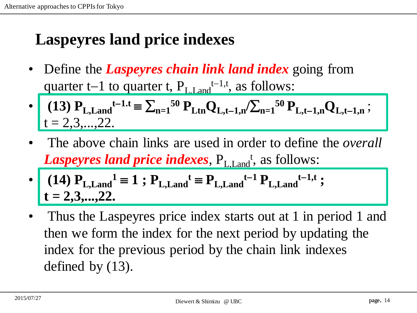# **Laspeyres land price indexes**

• Define the *Laspeyres chain link land index* going from quarter t–1 to quarter t,  $P_{L,Land}$ <sup>t–1,t</sup>, as follows:

• (13) 
$$
P_{L, Land}^{t-1,t} = \sum_{n=1}^{50} P_{Ltn} Q_{L,t-1,n} / \sum_{n=1}^{50} P_{L,t-1,n} Q_{L,t-1,n}
$$
;  
\n $t = 2,3,...,22.$ 

- The above chain links are used in order to define the *overall*  Laspeyres land price indexes,  $P_{L, Land}$ <sup>t</sup>, as follows:
- $(14)$   $P_{L,Land}^{-1} \equiv 1$ ;  $P_{L,Land}^{t} \equiv P_{L,Land}^{t-1} P_{L,Land}^{t-1,t}$ ; **t = 2,3,...,22.**
- Thus the Laspeyres price index starts out at 1 in period 1 and then we form the index for the next period by updating the index for the previous period by the chain link indexes defined by (13).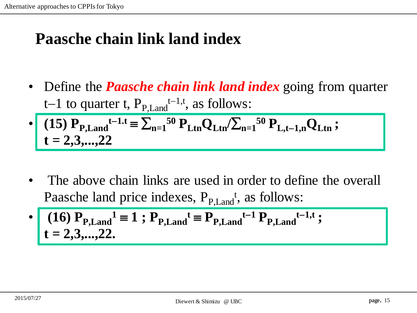#### **Paasche chain link land index**

- Define the *Paasche chain link land index* going from quarter t–1 to quarter t,  $P_{P, Land}$ <sup>t–1,t</sup>, as follows:
- $\textbf{P}_{\text{P, Land}}$ <sup>t-1.t</sup>  $\equiv \sum_{n=1}^{50} \text{P}_{\text{Ltn}} Q_{\text{Ltn}} / \sum_{n=1}^{50} P_{\text{L,t-1,n}} Q_{\text{Ltn}}$ ; **t = 2,3,...,22**
- The above chain links are used in order to define the overall Paasche land price indexes, P<sub>P,Land</sub><sup>t</sup>, as follows:

• 
$$
(16) P_{P,\text{Land}}^1 = 1
$$
;  $P_{P,\text{Land}}^t = P_{P,\text{Land}}^{t-1} P_{P,\text{Land}}^{t-1,t}$ ;  
 $t = 2,3,...,22$ .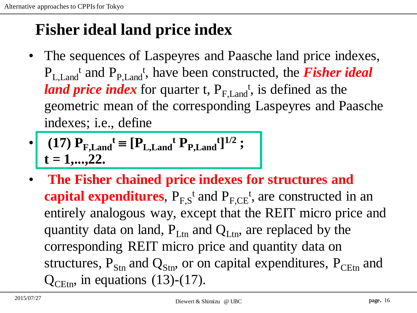# **Fisher ideal land price index**

- The sequences of Laspeyres and Paasche land price indexes,  $P_{L, Land}$ <sup>t</sup> and  $P_{P, Land}$ <sup>t</sup>, have been constructed, the *Fisher ideal land price index* for quarter t,  $P_{F, Land}$ <sup>t</sup>, is defined as the geometric mean of the corresponding Laspeyres and Paasche indexes; i.e., define
- $(17)$   $P_{F,Land}$ <sup>t</sup>  $\equiv [P_{L,Land}$ <sup>t</sup>  $P_{P,Land}$ <sup>t</sup>]<sup>1/2</sup> ; **t = 1,...,22.**
- **The Fisher chained price indexes for structures and capital expenditures**,  $P_{F,S}$ <sup>t</sup> and  $P_{F,CE}$ <sup>t</sup>, are constructed in an entirely analogous way, except that the REIT micro price and quantity data on land,  $P_{Ltn}$  and  $Q_{Ltn}$ , are replaced by the corresponding REIT micro price and quantity data on structures,  $P_{Str}$  and  $Q_{Str}$ , or on capital expenditures,  $P_{CFtn}$  and  $Q_{C_{\text{Etn}}}$ , in equations (13)-(17).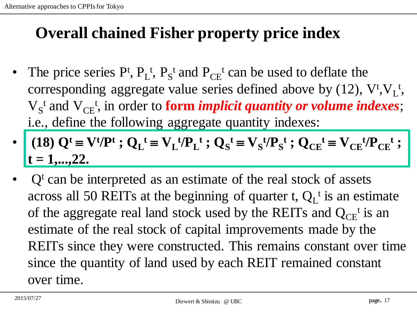#### **Overall chained Fisher property price index**

- The price series  $P^t$ ,  $P_L^t$ ,  $P_S^t$  and  $P_{CE}^t$  can be used to deflate the corresponding aggregate value series defined above by  $(12)$ ,  $V^{\dagger}$ ,  $V^{\dagger}$ ,  $V_S^t$  and  $V_{CE}^t$ , in order to **form** *implicit quantity or volume indexes*; i.e., define the following aggregate quantity indexes:
- (18)  $Q^t \equiv V^t/P^t$ ;  $Q_L^t \equiv V_L^t/P_L^t$ ;  $Q_S^t \equiv V_S^t/P_S^t$ ;  $Q_{CE}^t \equiv V_{CE}^t/P_{CE}^t$ ;  $t = 1, \ldots, 22.$
- $Q<sup>t</sup>$  can be interpreted as an estimate of the real stock of assets across all 50 REITs at the beginning of quarter t,  $Q_L^t$  is an estimate of the aggregate real land stock used by the REITs and  $Q_{CE}$ <sup>t</sup> is an estimate of the real stock of capital improvements made by the REITs since they were constructed. This remains constant over time since the quantity of land used by each REIT remained constant over time.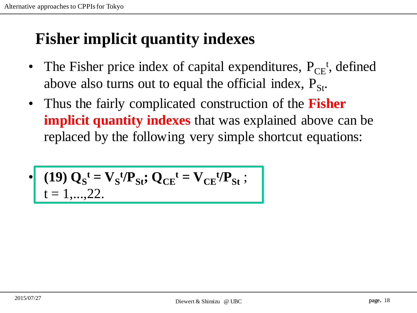#### **Fisher implicit quantity indexes**

- The Fisher price index of capital expenditures,  $P_{CE}^t$ , defined above also turns out to equal the official index,  $P_{St}$ .
- Thus the fairly complicated construction of the **Fisher implicit quantity indexes** that was explained above can be replaced by the following very simple shortcut equations:

$$
\cdot \qquad \qquad (19) \ Q_{\rm S}^{\rm t} = V_{\rm S}^{\rm t}/P_{\rm St}; \ Q_{\rm CE}^{\rm t} = V_{\rm CE}^{\rm t}/P_{\rm St};
$$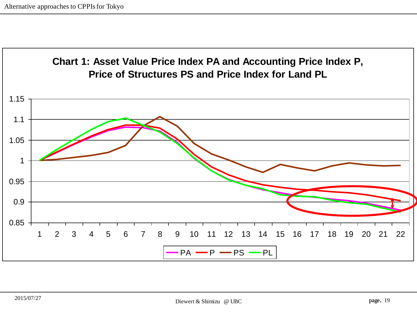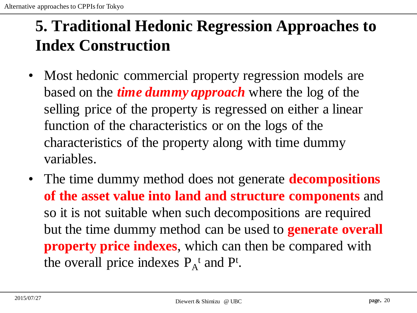## **5. Traditional Hedonic Regression Approaches to Index Construction**

- Most hedonic commercial property regression models are based on the *time dummy approach* where the log of the selling price of the property is regressed on either a linear function of the characteristics or on the logs of the characteristics of the property along with time dummy variables.
- The time dummy method does not generate **decompositions of the asset value into land and structure components** and so it is not suitable when such decompositions are required but the time dummy method can be used to **generate overall property price indexes**, which can then be compared with the overall price indexes  $P_A^t$  and  $P^t$ .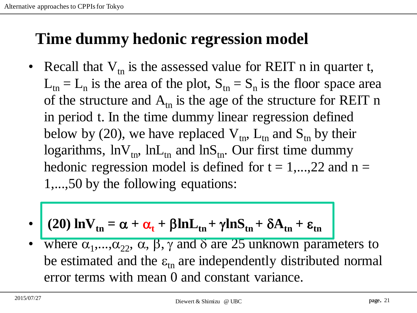### **Time dummy hedonic regression model**

- Recall that  $V_{tn}$  is the assessed value for REIT n in quarter t,  $L_{tn} = L_n$  is the area of the plot,  $S_{tn} = S_n$  is the floor space area of the structure and  $A_{tn}$  is the age of the structure for REIT n in period t. In the time dummy linear regression defined below by (20), we have replaced  $V_{tn}$ ,  $L_{tn}$  and  $S_{tn}$  by their logarithms,  $\ln V_{tn}$ ,  $\ln L_{tn}$  and  $\ln S_{tn}$ . Our first time dummy hedonic regression model is defined for  $t = 1,...,22$  and  $n =$ 1,...,50 by the following equations:
- $\bullet$   $(20)$   $\ln V_{\text{tn}} = \alpha + \alpha_{\text{t}} + \beta \ln L_{\text{tn}} + \gamma \ln S_{\text{tn}} + \delta A_{\text{tn}} + \epsilon_{\text{tn}}$
- where  $\alpha_1, \ldots, \alpha_{22}$ ,  $\alpha$ ,  $\beta$ ,  $\gamma$  and  $\delta$  are 25 unknown parameters to be estimated and the  $\varepsilon_{\text{tn}}$  are independently distributed normal error terms with mean 0 and constant variance.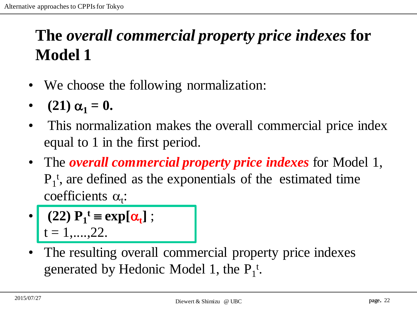# **The** *overall commercial property price indexes* **for Model 1**

- We choose the following normalization:
- **(21)**  $\alpha_1 = 0$ .
- This normalization makes the overall commercial price index equal to 1 in the first period.
- The *overall commercial property price indexes* for Model 1,  $P_1^t$ , are defined as the exponentials of the estimated time  $\text{coefficients } \alpha_t$ :
- $\cdot$  (22)  $P_1^t \equiv \exp[\alpha_t]$ ;  $t = 1, \ldots, 22.$
- The resulting overall commercial property price indexes generated by Hedonic Model 1, the  $P_1^t$ .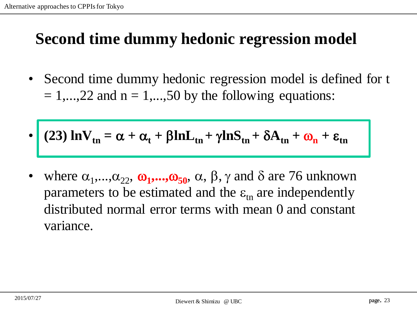#### **Second time dummy hedonic regression model**

- Second time dummy hedonic regression model is defined for t  $= 1,...,22$  and  $n = 1,...,50$  by the following equations:
- (23)  $\ln V_{tn} = \alpha + \alpha_t + \beta \ln L_{tn} + \gamma \ln S_{tn} + \delta A_{tn} + \omega_n + \epsilon_{tn}$
- where  $\alpha_1, \ldots, \alpha_{22}$ ,  $\omega_1, \ldots, \omega_{50}$ ,  $\alpha$ ,  $\beta$ ,  $\gamma$  and  $\delta$  are 76 unknown parameters to be estimated and the  $\varepsilon_{\rm in}$  are independently distributed normal error terms with mean 0 and constant variance.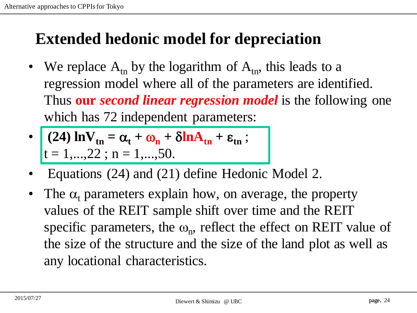#### **Extended hedonic model for depreciation**

- We replace  $A_{tn}$  by the logarithm of  $A_{tn}$ , this leads to a regression model where all of the parameters are identified. Thus **our** *second linear regression model* is the following one which has 72 independent parameters:
- $(24) \ln V_{\text{tn}} = \alpha_{\text{t}} + \omega_{\text{n}} + \delta \ln A_{\text{tn}} + \epsilon_{\text{tn}};$  $t = 1, \ldots, 22; n = 1, \ldots, 50.$
- Equations (24) and (21) define Hedonic Model 2.
- The  $\alpha_t$  parameters explain how, on average, the property values of the REIT sample shift over time and the REIT specific parameters, the  $\omega_n$ , reflect the effect on REIT value of the size of the structure and the size of the land plot as well as any locational characteristics.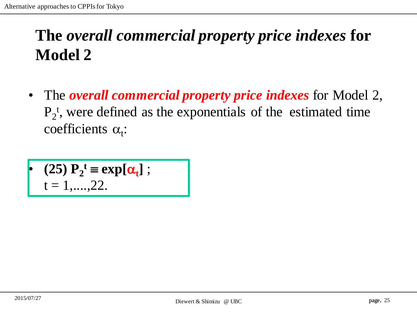# **The** *overall commercial property price indexes* **for Model 2**

• The *overall commercial property price indexes* for Model 2,  $P_2$ <sup>t</sup>, were defined as the exponentials of the estimated time coefficients  $\alpha_t$ :

$$
\begin{array}{ll}\n\bullet \quad (25) \ P_2^t \equiv \exp[\alpha_t] ;\\
t = 1, \dots, 22.\n\end{array}
$$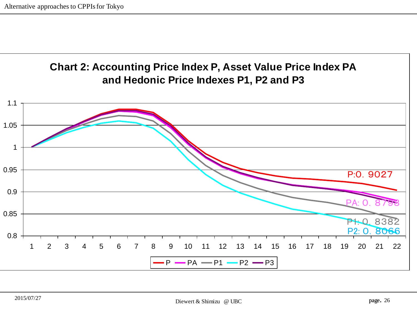

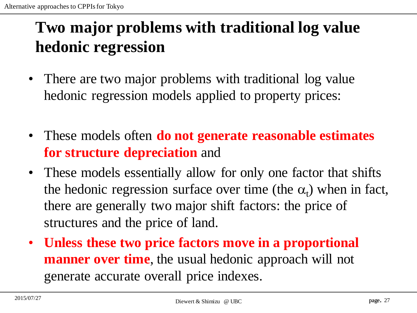# **Two major problems with traditional log value hedonic regression**

- There are two major problems with traditional log value hedonic regression models applied to property prices:
- These models often **do not generate reasonable estimates for structure depreciation** and
- These models essentially allow for only one factor that shifts the hedonic regression surface over time (the  $\alpha_t$ ) when in fact, there are generally two major shift factors: the price of structures and the price of land.
- **Unless these two price factors move in a proportional manner over time**, the usual hedonic approach will not generate accurate overall price indexes.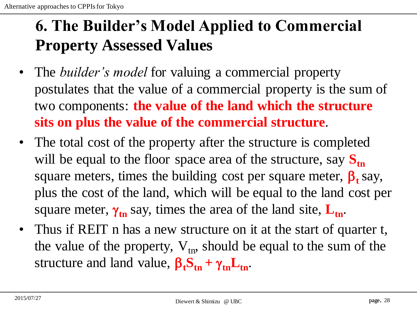## **6. The Builder's Model Applied to Commercial Property Assessed Values**

- The *builder's model* for valuing a commercial property postulates that the value of a commercial property is the sum of two components: **the value of the land which the structure sits on plus the value of the commercial structure**.
- The total cost of the property after the structure is completed will be equal to the floor space area of the structure, say  $S_{tn}$ square meters, times the building cost per square meter,  $\beta_t$  say, plus the cost of the land, which will be equal to the land cost per square meter,  $\gamma_{tn}$  say, times the area of the land site,  $L_{tn}$ .
- Thus if REIT n has a new structure on it at the start of quarter t, the value of the property,  $V_{tn}$ , should be equal to the sum of the structure and land value,  $\beta_t S_{tn} + \gamma_{tn} L_{tn}$ .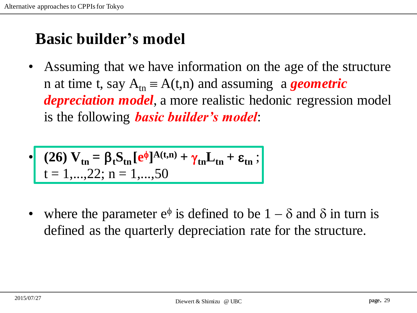#### **Basic builder's model**

• Assuming that we have information on the age of the structure n at time t, say  $A_{tn} = A(t,n)$  and assuming a *geometric depreciation model*, a more realistic hedonic regression model is the following *basic builder's model*:

$$
\left\{\n\begin{array}{l}\n(26) V_{\text{tn}} = \beta_t S_{\text{tn}} \left[e^{\phi}\right]^{A(t,n)} + \gamma_{\text{tn}} L_{\text{tn}} + \varepsilon_{\text{tn}}; \\
t = 1, \dots, 22; \ n = 1, \dots, 50\n\end{array}\n\right\}
$$

• where the parameter  $e^{\phi}$  is defined to be  $1 - \delta$  and  $\delta$  in turn is defined as the quarterly depreciation rate for the structure.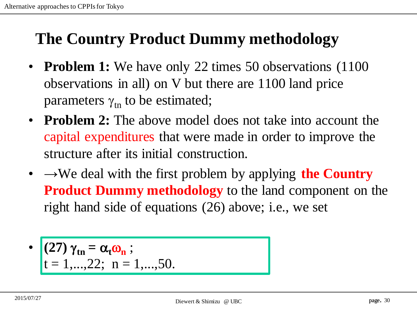## **The Country Product Dummy methodology**

- **Problem 1:** We have only 22 times 50 observations (1100) observations in all) on V but there are 1100 land price parameters  $\gamma_{\rm tn}$  to be estimated;
- **Problem 2:** The above model does not take into account the capital expenditures that were made in order to improve the structure after its initial construction.
- $\bullet \rightarrow \mathbb{W}$  deal with the first problem by applying **the Country Product Dummy methodology** to the land component on the right hand side of equations (26) above; i.e., we set

$$
\begin{cases}\n(27)\gamma_{\text{tn}} = \alpha_{\text{t}}\omega_{\text{n}}; \\
t = 1,...,22; \ \text{n} = 1,...,50.\n\end{cases}
$$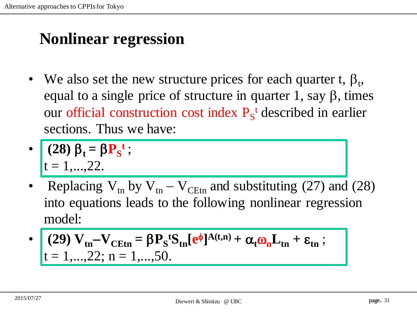## **Nonlinear regression**

• We also set the new structure prices for each quarter t,  $\beta_t$ , equal to a single price of structure in quarter 1, say  $\beta$ , times our official construction cost index  $P_s^t$  described in earlier sections. Thus we have:

$$
\begin{array}{c}\n\cdot \quad (28) \beta_t = \beta P_S^t; \\
t = 1, \dots, 22.\n\end{array}
$$

Replacing  $V_{tn}$  by  $V_{tn} - V_{C E t n}$  and substituting (27) and (28) into equations leads to the following nonlinear regression model:

$$
\begin{aligned}\n\bullet \quad & \left( \begin{array}{c} \mathbf{29} \\ t = 1, \dots, 22; \, n = 1, \dots, 50. \end{array} \right. \\
\text{Let } \mathbf{R} = \mathbf{R} \mathbf{R} \mathbf{S} = \mathbf{R} \mathbf{R} \mathbf{S} \\
\mathbf{R} = \mathbf{R} \mathbf{S} \mathbf{S} \\
\mathbf{R} = \mathbf{R} \mathbf{S} \mathbf{S} \\
\mathbf{R} = \mathbf{R} \mathbf{S} \mathbf{S} \\
\mathbf{R} = \mathbf{R} \mathbf{S} \mathbf{S} \\
\mathbf{R} = \mathbf{R} \mathbf{S} \mathbf{S} \\
\mathbf{R} = \mathbf{R} \mathbf{S} \mathbf{S} \\
\mathbf{R} = \mathbf{R} \mathbf{S} \mathbf{S} \\
\mathbf{R} = \mathbf{R} \mathbf{S} \mathbf{S} \\
\mathbf{R} = \mathbf{R} \mathbf{S} \mathbf{S} \\
\mathbf{R} = \mathbf{R} \mathbf{S} \mathbf{S} \\
\mathbf{R} = \mathbf{R} \mathbf{S} \mathbf{S} \\
\mathbf{R} = \mathbf{R} \mathbf{S} \mathbf{S} \\
\mathbf{R} = \mathbf{R} \mathbf{S} \mathbf{S} \\
\mathbf{R} = \mathbf{R} \mathbf{S} \mathbf{S} \\
\mathbf{R} = \mathbf{R} \mathbf{S} \mathbf{S} \\
\mathbf{R} = \mathbf{R} \mathbf{S} \mathbf{S} \\
\mathbf{R} = \mathbf{R} \mathbf{S} \mathbf{S} \\
\mathbf{R} = \mathbf{R} \mathbf{S} \mathbf{S} \\
\mathbf{R} = \mathbf{R} \mathbf{S} \mathbf{S} \\
\mathbf{R} = \mathbf{R} \mathbf{S} \mathbf{S} \\
\mathbf{R} = \mathbf{R} \mathbf{S} \mathbf{S} \\
\mathbf{R} = \mathbf{R} \mathbf{S} \mathbf{S} \\
\mathbf{R} = \mathbf{R} \mathbf{S} \mathbf{S} \\
\mathbf{R} = \mathbf{R} \mathbf{S} \mathbf{S} \\
\mathbf{R} = \mathbf{R} \mathbf{S} \
$$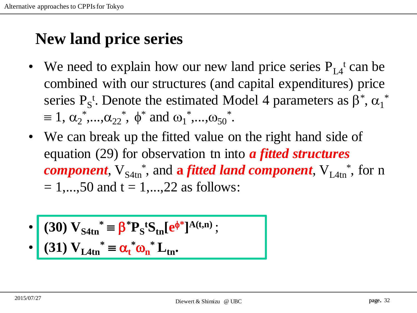#### **New land price series**

- We need to explain how our new land price series  $P_{L4}^t$  can be combined with our structures (and capital expenditures) price series  $P_S^t$ . Denote the estimated Model 4 parameters as  $\beta^*, \alpha_1^*$  $\equiv 1, \alpha_2^*, ..., \alpha_{22}^*, \phi^*$  and  $\omega_1^*, ..., \omega_{50}^*.$
- We can break up the fitted value on the right hand side of equation (29) for observation tn into *a fitted structures component*,  $V_{S4tn}^*$ , and a *fitted land component*,  $V_{L4tn}^*$ , for n  $= 1,...,50$  and  $t = 1,...,22$  as follows:
- $\bullet$  (30)  $V_{S4tn}^* \equiv \beta^* P_S^t S_{tn} [e^{\phi^*}]^{A(t,n)}$ ;

$$
\bullet \quad (31) V_{L4tn}^* \equiv \alpha_t^* \omega_n^* L_{tn}.
$$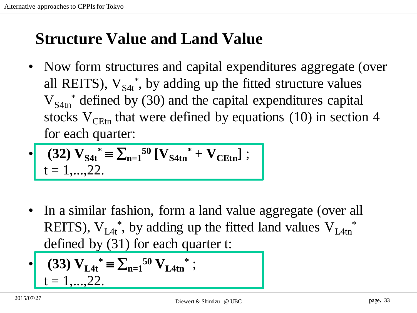#### **Structure Value and Land Value**

• Now form structures and capital expenditures aggregate (over all REITS),  $V_{S4t}^*$ , by adding up the fitted structure values  $V_{S4tn}$ <sup>\*</sup> defined by (30) and the capital expenditures capital stocks  $V_{CFtn}$  that were defined by equations (10) in section 4 for each quarter:

$$
\begin{aligned}\n\bullet \quad & \text{(32) } \mathbf{V_{S4t}}^* = \sum_{n=1}^{50} \left[ \mathbf{V_{S4tn}}^* + \mathbf{V_{CEt}} \right]; \\
& t = 1, \dots, 22.\n\end{aligned}
$$

• In a similar fashion, form a land value aggregate (over all REITS),  $V_{L4t}^*$ , by adding up the fitted land values  $V_{L4tn}^*$ defined by (31) for each quarter t:

$$
\begin{array}{ll}\n\bullet & (33) \, \mathbf{V}_{\mathbf{L4t}}^* = \sum_{n=1}^{50} \mathbf{V}_{\mathbf{L4tn}}^* \, ; \\
t = 1, \dots, 22.\n\end{array}
$$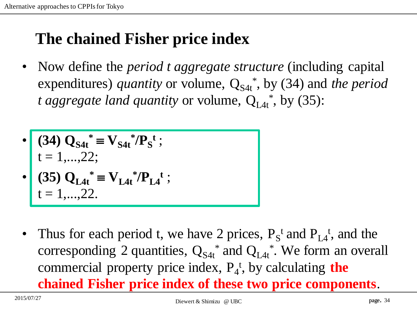#### **The chained Fisher price index**

• Now define the *period t aggregate structure* (including capital expenditures) *quantity* or volume,  $Q_{S4t}^*$ , by (34) and *the period* t aggregate land quantity or volume,  $Q_{L4t}^*$ , by (35):

• 
$$
(34) Q_{S4t}^* = V_{S4t}^* / P_S^t ;
$$
  
\n
$$
t = 1,...,22; \qquad (35) Q_{L4t}^* = V_{L4t}^* / P_{L4}^t ;
$$

- $t = 1,...,22$ .
- Thus for each period t, we have 2 prices,  $P_s^t$  and  $P_{L4}^t$ , and the corresponding 2 quantities,  $Q_{S4t}^*$  and  $Q_{L4t}^*$ . We form an overall commercial property price index,  $P_4^t$ , by calculating **the chained Fisher price index of these two price components**.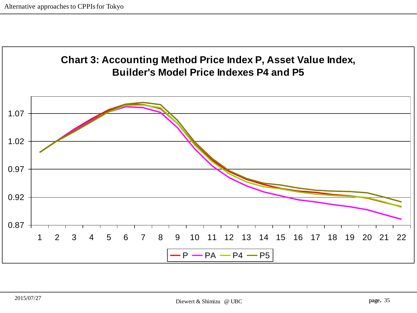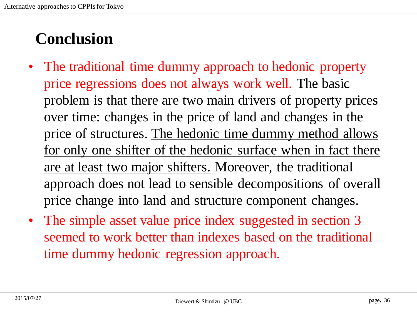# **Conclusion**

- The traditional time dummy approach to hedonic property price regressions does not always work well. The basic problem is that there are two main drivers of property prices over time: changes in the price of land and changes in the price of structures. The hedonic time dummy method allows for only one shifter of the hedonic surface when in fact there are at least two major shifters. Moreover, the traditional approach does not lead to sensible decompositions of overall price change into land and structure component changes.
- The simple asset value price index suggested in section 3 seemed to work better than indexes based on the traditional time dummy hedonic regression approach.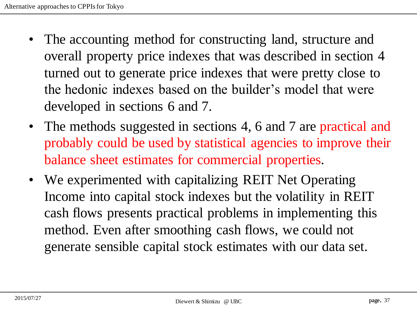- The accounting method for constructing land, structure and overall property price indexes that was described in section 4 turned out to generate price indexes that were pretty close to the hedonic indexes based on the builder's model that were developed in sections 6 and 7.
- The methods suggested in sections 4, 6 and 7 are practical and probably could be used by statistical agencies to improve their balance sheet estimates for commercial properties.
- We experimented with capitalizing REIT Net Operating Income into capital stock indexes but the volatility in REIT cash flows presents practical problems in implementing this method. Even after smoothing cash flows, we could not generate sensible capital stock estimates with our data set.